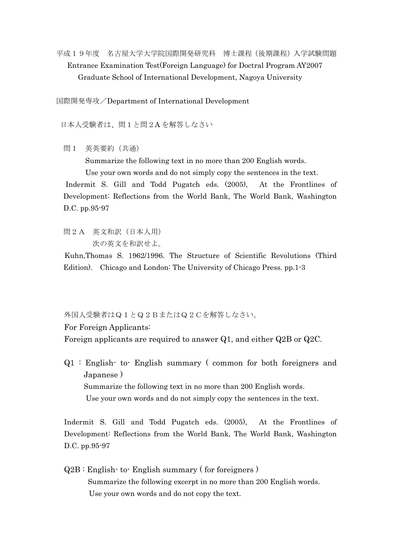平成19年度 名古屋大学大学院国際開発研究科 博士課程(後期課程)入学試験問題 Entrance Examination Test(Foreign Language) for Doctral Program AY2007 Graduate School of International Development, Nagoya University

国際開発専攻/Department of International Development

日本人受験者は、問1と問2A を解答しなさい

問1 英英要約(共通)

Summarize the following text in no more than 200 English words.

Use your own words and do not simply copy the sentences in the text.

Indermit S. Gill and Todd Pugatch eds. (2005), At the Frontlines of Development: Reflections from the World Bank, The World Bank, Washington D.C. pp.95-97

問2A 英文和訳(日本人用)

次の英文を和訳せよ。

Kuhn,Thomas S. 1962/1996. The Structure of Scientific Revolutions (Third Edition). Chicago and London: The University of Chicago Press. pp.1-3

外国人受験者はQ1とQ2BまたはQ2Cを解答しなさい。

For Foreign Applicants:

Foreign applicants are required to answer Q1, and either Q2B or Q2C.

Q1 : English- to- English summary ( common for both foreigners and Japanese ) Summarize the following text in no more than 200 English words. Use your own words and do not simply copy the sentences in the text.

 Indermit S. Gill and Todd Pugatch eds. (2005), At the Frontlines of Development: Reflections from the World Bank, The World Bank, Washington D.C. pp.95-97

 Q2B : English- to- English summary ( for foreigners ) Summarize the following excerpt in no more than 200 English words. Use your own words and do not copy the text.